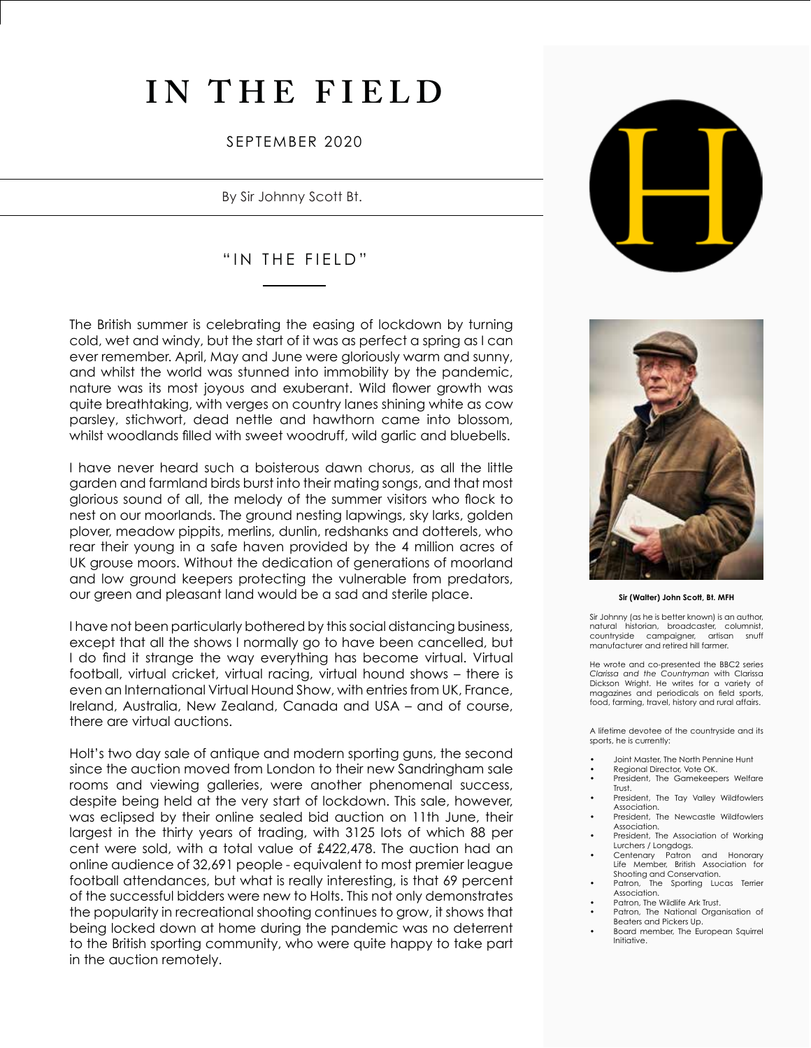# **IN THE FIELD**

## SEPTEMBER 2020

By Sir Johnny Scott Bt.

# "IN THE FIELD"

The British summer is celebrating the easing of lockdown by turning cold, wet and windy, but the start of it was as perfect a spring as I can ever remember. April, May and June were gloriously warm and sunny, and whilst the world was stunned into immobility by the pandemic, nature was its most joyous and exuberant. Wild flower growth was quite breathtaking, with verges on country lanes shining white as cow parsley, stichwort, dead nettle and hawthorn came into blossom, whilst woodlands filled with sweet woodruff, wild garlic and bluebells.

I have never heard such a boisterous dawn chorus, as all the little garden and farmland birds burst into their mating songs, and that most glorious sound of all, the melody of the summer visitors who flock to nest on our moorlands. The ground nesting lapwings, sky larks, golden plover, meadow pippits, merlins, dunlin, redshanks and dotterels, who rear their young in a safe haven provided by the 4 million acres of UK grouse moors. Without the dedication of generations of moorland and low ground keepers protecting the vulnerable from predators, our green and pleasant land would be a sad and sterile place.

I have not been particularly bothered by this social distancing business, except that all the shows I normally go to have been cancelled, but I do find it strange the way everything has become virtual. Virtual football, virtual cricket, virtual racing, virtual hound shows – there is even an International Virtual Hound Show, with entries from UK, France, Ireland, Australia, New Zealand, Canada and USA – and of course, there are virtual auctions.

Holt's two day sale of antique and modern sporting guns, the second since the auction moved from London to their new Sandringham sale rooms and viewing galleries, were another phenomenal success, despite being held at the very start of lockdown. This sale, however, was eclipsed by their online sealed bid auction on 11th June, their largest in the thirty years of trading, with 3125 lots of which 88 per cent were sold, with a total value of £422,478. The auction had an online audience of 32,691 people - equivalent to most premier league football attendances, but what is really interesting, is that 69 percent of the successful bidders were new to Holts. This not only demonstrates the popularity in recreational shooting continues to grow, it shows that being locked down at home during the pandemic was no deterrent to the British sporting community, who were quite happy to take part in the auction remotely.





#### **Sir (Walter) John Scott, Bt. MFH**

Sir Johnny (as he is better known) is an author, natural historian, broadcaster, columnist, countryside campaigner, manufacturer and retired hill farmer.

He wrote and co-presented the BBC2 series *Clarissa and the Countryman* with Clarissa Dickson Wright. He writes for a variety of magazines and periodicals on field sports, food, farming, travel, history and rural affairs.

A lifetime devotee of the countryside and its sports, he is currently:

- Joint Master, The North Pennine Hunt
- Regional Director, Vote OK.
- President, The Gamekeepers Welfare Trust.
- President, The Tay Valley Wildfowlers Association.
- President, The Newcastle Wildfowlers Association.
- President, The Association of Working Lurchers / Longdogs.
- Centenary Patron and Honorary Life Member, British Association for Shooting and Conservation.<br>Patron, The Sporting Luc
- The Sporting Lucas Terrier Association.
- Patron, The Wildlife Ark Trust.
- Patron, The National Organisation of Beaters and Pickers Up.
- Board member, The European Squirrel Initiative.